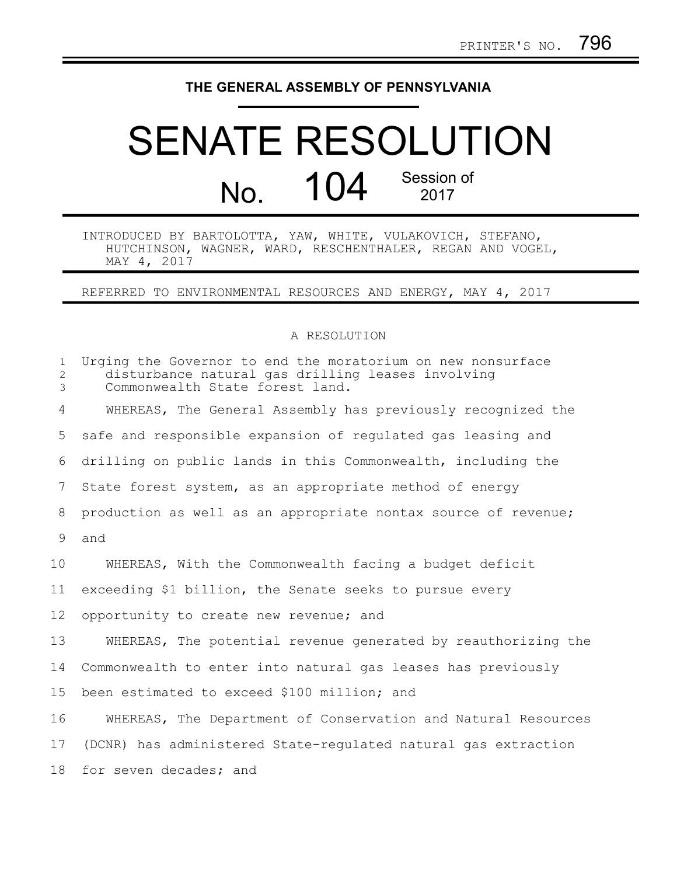## **THE GENERAL ASSEMBLY OF PENNSYLVANIA**

## SENATE RESOLUTION No. 104 Session of 2017

INTRODUCED BY BARTOLOTTA, YAW, WHITE, VULAKOVICH, STEFANO, HUTCHINSON, WAGNER, WARD, RESCHENTHALER, REGAN AND VOGEL, MAY 4, 2017

REFERRED TO ENVIRONMENTAL RESOURCES AND ENERGY, MAY 4, 2017

## A RESOLUTION

| $\mathbf{1}$<br>$\overline{2}$<br>$\mathfrak{Z}$ | Urging the Governor to end the moratorium on new nonsurface<br>disturbance natural qas drilling leases involving<br>Commonwealth State forest land. |
|--------------------------------------------------|-----------------------------------------------------------------------------------------------------------------------------------------------------|
| 4                                                | WHEREAS, The General Assembly has previously recognized the                                                                                         |
| 5                                                | safe and responsible expansion of regulated gas leasing and                                                                                         |
| 6                                                | drilling on public lands in this Commonwealth, including the                                                                                        |
| $7\phantom{.}$                                   | State forest system, as an appropriate method of energy                                                                                             |
| 8                                                | production as well as an appropriate nontax source of revenue;                                                                                      |
| 9                                                | and                                                                                                                                                 |
| 10                                               | WHEREAS, With the Commonwealth facing a budget deficit                                                                                              |
| 11                                               | exceeding \$1 billion, the Senate seeks to pursue every                                                                                             |
| 12                                               | opportunity to create new revenue; and                                                                                                              |
| 13                                               | WHEREAS, The potential revenue generated by reauthorizing the                                                                                       |
| 14                                               | Commonwealth to enter into natural gas leases has previously                                                                                        |
| 15                                               | been estimated to exceed \$100 million; and                                                                                                         |
| 16                                               | WHEREAS, The Department of Conservation and Natural Resources                                                                                       |
| 17                                               | (DCNR) has administered State-requlated natural gas extraction                                                                                      |
| 18                                               | for seven decades; and                                                                                                                              |